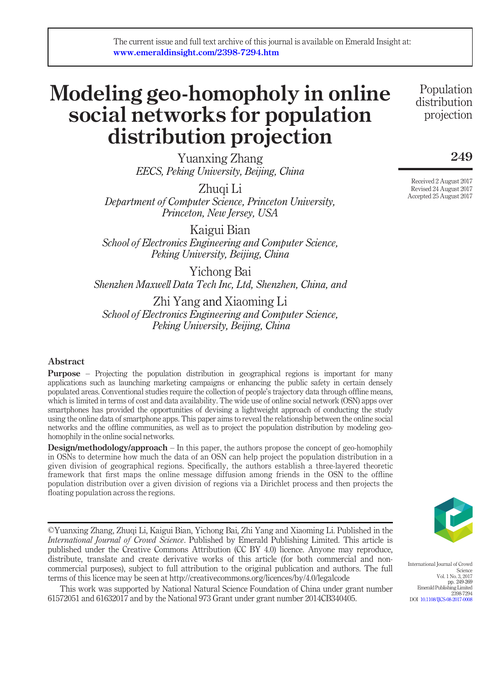# Modeling geo-homopholy in online social networks for population distribution projection

Yuanxing Zhang EECS, Peking University, Beijing, China

Zhuqi Li Department of Computer Science, Princeton University, Princeton, New Jersey, USA

Kaigui Bian School of Electronics Engineering and Computer Science, Peking University, Beijing, China

Yichong Bai Shenzhen Maxwell Data Tech Inc, Ltd, Shenzhen, China, and

Zhi Yang and Xiaoming Li School of Electronics Engineering and Computer Science, Peking University, Beijing, China

# Abstract

Purpose – Projecting the population distribution in geographical regions is important for many applications such as launching marketing campaigns or enhancing the public safety in certain densely populated areas. Conventional studies require the collection of people's trajectory data through offline means, which is limited in terms of cost and data availability. The wide use of online social network (OSN) apps over smartphones has provided the opportunities of devising a lightweight approach of conducting the study using the online data of smartphone apps. This paper aims to reveal the relationship between the online social networks and the offline communities, as well as to project the population distribution by modeling geohomophily in the online social networks.

**Design/methodology/approach** – In this paper, the authors propose the concept of geo-homophily in OSNs to determine how much the data of an OSN can help project the population distribution in a given division of geographical regions. Specifically, the authors establish a three-layered theoretic framework that first maps the online message diffusion among friends in the OSN to the offline population distribution over a given division of regions via a Dirichlet process and then projects the floating population across the regions.

©Yuanxing Zhang, Zhuqi Li, Kaigui Bian, Yichong Bai, Zhi Yang and Xiaoming Li. Published in the International Journal of Crowd Science. Published by Emerald Publishing Limited. This article is published under the Creative Commons Attribution (CC BY 4.0) licence. Anyone may reproduce, distribute, translate and create derivative works of this article (for both commercial and noncommercial purposes), subject to full attribution to the original publication and authors. The full terms of this licence may be seen at http://creativecommons.org/licences/by/4.0/legalcode

This work was supported by National Natural Science Foundation of China under grant number 61572051 and 61632017 and by the National 973 Grant under grant number 2014CB340405.

Population distribution projection

249

Received 2 August 2017 Revised 24 August 2017 Accepted 25 August 2017



International Journal of Crowd Science Vol. 1 No. 3, 2017 pp. 249-269 Emerald Publishing Limited 2398-7294 DOI [10.1108/IJCS-08-2017-0008](http://dx.doi.org/10.1108/IJCS-08-2017-0008)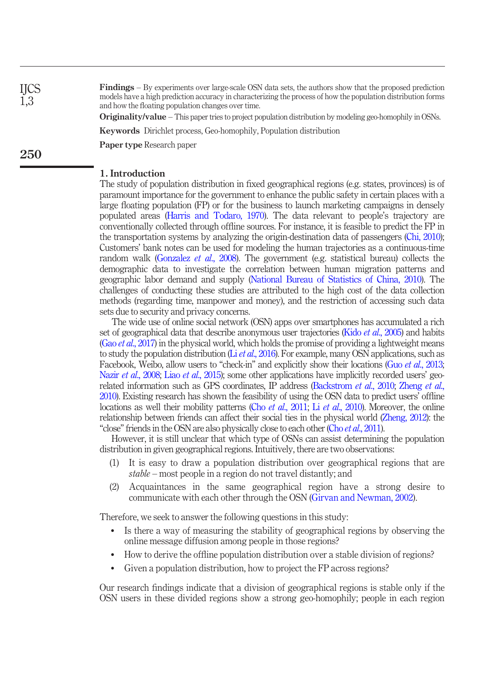Findings – By experiments over large-scale OSN data sets, the authors show that the proposed prediction models have a high prediction accuracy in characterizing the process of how the population distribution forms and how the floating population changes over time.

Originality/value – This paper tries to project population distribution by modeling geo-homophily in OSNs.

Keywords Dirichlet process, Geo-homophily, Population distribution

Paper type Research paper

#### 1. Introduction

The study of population distribution in fixed geographical regions (e.g. states, provinces) is of paramount importance for the government to enhance the public safety in certain places with a large floating population (FP) or for the business to launch marketing campaigns in densely populated areas [\(Harris and Todaro, 1970](#page-19-0)). The data relevant to people's trajectory are conventionally collected through offline sources. For instance, it is feasible to predict the FP in the transportation systems by analyzing the origin-destination data of passengers [\(Chi, 2010\)](#page-18-0); Customers' bank notes can be used for modeling the human trajectories as a continuous-time random walk [\(Gonzalez](#page-19-1) et  $al$ , 2008). The government (e.g. statistical bureau) collects the demographic data to investigate the correlation between human migration patterns and geographic labor demand and supply [\(National Bureau of Statistics of China, 2010\)](#page-19-2). The challenges of conducting these studies are attributed to the high cost of the data collection methods (regarding time, manpower and money), and the restriction of accessing such data sets due to security and privacy concerns.

The wide use of online social network (OSN) apps over smartphones has accumulated a rich set of geographical data that describe anonymous user trajectories (Kido *et al.*, 2005) and habits (Gao et al[., 2017\)](#page-18-1) in the physical world, which holds the promise of providing a lightweight means to study the population distribution (Li et al[., 2016\)](#page-19-4). For example, many OSN applications, such as Facebook, Weibo, allow users to "check-in" and explicitly show their locations (Guo et al[., 2013;](#page-19-5) Nazir et al[., 2008;](#page-19-6) Liao et al[., 2015\)](#page-19-7); some other applications have implicitly recorded users' geo-related information such as GPS coordinates, IP address [\(Backstrom](#page-18-2) et al., 2010; [Zheng](#page-19-8) et al., [2010](#page-19-8)). Existing research has shown the feasibility of using the OSN data to predict users' offline locations as well their mobility patterns (Cho *et al.*, 2011; Li *et al.*, 2010). Moreover, the online relationship between friends can affect their social ties in the physical world [\(Zheng, 2012\)](#page-19-10): the "close" friends in the OSN are also physically close to each other (Cho et al[., 2011](#page-18-3)).

However, it is still unclear that which type of OSNs can assist determining the population distribution in given geographical regions. Intuitively, there are two observations:

- (1) It is easy to draw a population distribution over geographical regions that are stable – most people in a region do not travel distantly; and
- (2) Acquaintances in the same geographical region have a strong desire to communicate with each other through the OSN [\(Girvan and Newman, 2002](#page-18-4)).

Therefore, we seek to answer the following questions in this study:

- Is there a way of measuring the stability of geographical regions by observing the online message diffusion among people in those regions?
- How to derive the offline population distribution over a stable division of regions?
- Given a population distribution, how to project the FP across regions?

Our research findings indicate that a division of geographical regions is stable only if the OSN users in these divided regions show a strong geo-homophily; people in each region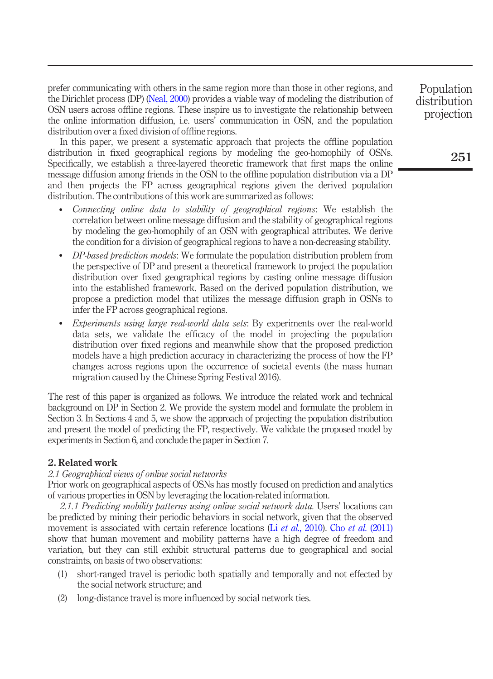prefer communicating with others in the same region more than those in other regions, and the Dirichlet process (DP) ([Neal, 2000\)](#page-19-11) provides a viable way of modeling the distribution of OSN users across offline regions. These inspire us to investigate the relationship between the online information diffusion, i.e. users' communication in OSN, and the population distribution over a fixed division of offline regions.

In this paper, we present a systematic approach that projects the offline population distribution in fixed geographical regions by modeling the geo-homophily of OSNs. Specifically, we establish a three-layered theoretic framework that first maps the online message diffusion among friends in the OSN to the offline population distribution via a DP and then projects the FP across geographical regions given the derived population distribution. The contributions of this work are summarized as follows:

- Connecting online data to stability of geographical regions: We establish the correlation between online message diffusion and the stability of geographical regions by modeling the geo-homophily of an OSN with geographical attributes. We derive the condition for a division of geographical regions to have a non-decreasing stability.
- DP-based prediction models: We formulate the population distribution problem from the perspective of DP and present a theoretical framework to project the population distribution over fixed geographical regions by casting online message diffusion into the established framework. Based on the derived population distribution, we propose a prediction model that utilizes the message diffusion graph in OSNs to infer the FP across geographical regions.
- Experiments using large real-world data sets: By experiments over the real-world data sets, we validate the efficacy of the model in projecting the population distribution over fixed regions and meanwhile show that the proposed prediction models have a high prediction accuracy in characterizing the process of how the FP changes across regions upon the occurrence of societal events (the mass human migration caused by the Chinese Spring Festival 2016).

The rest of this paper is organized as follows. We introduce the related work and technical background on DP in Section 2. We provide the system model and formulate the problem in Section 3. In Sections 4 and 5, we show the approach of projecting the population distribution and present the model of predicting the FP, respectively. We validate the proposed model by experiments in Section 6, and conclude the paper in Section 7.

## 2. Related work

## 2.1 Geographical views of online social networks

Prior work on geographical aspects of OSNs has mostly focused on prediction and analytics of various properties in OSN by leveraging the location-related information.

2.1.1 Predicting mobility patterns using online social network data. Users' locations can be predicted by mining their periodic behaviors in social network, given that the observed movement is associated with certain reference locations (Li et al[., 2010\)](#page-19-9). Cho et al[. \(2011\)](#page-18-3) show that human movement and mobility patterns have a high degree of freedom and variation, but they can still exhibit structural patterns due to geographical and social constraints, on basis of two observations:

- (1) short-ranged travel is periodic both spatially and temporally and not effected by the social network structure; and
- (2) long-distance travel is more influenced by social network ties.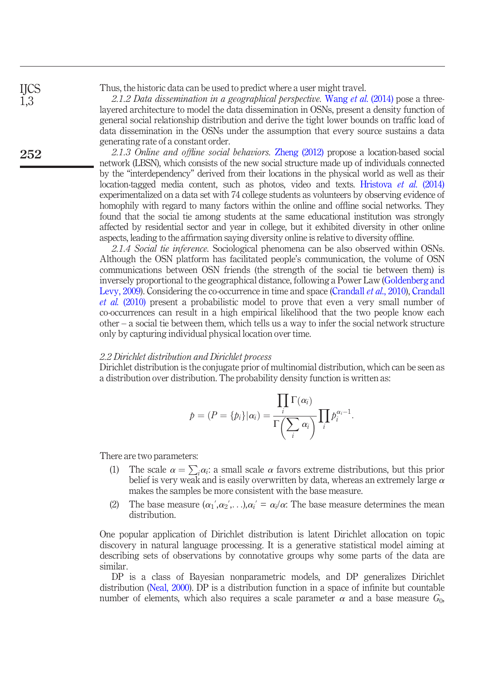Thus, the historic data can be used to predict where a user might travel.

2.1.2 Data dissemination in a geographical perspective. Wang et al[. \(2014\)](#page-19-12) pose a threelayered architecture to model the data dissemination in OSNs, present a density function of general social relationship distribution and derive the tight lower bounds on traffic load of data dissemination in the OSNs under the assumption that every source sustains a data generating rate of a constant order.

2.1.3 Online and offline social behaviors. [Zheng \(2012\)](#page-19-10) propose a location-based social network (LBSN), which consists of the new social structure made up of individuals connected by the "interdependency" derived from their locations in the physical world as well as their location-tagged media content, such as photos, video and texts. [Hristova](#page-19-13) *et al.* (2014) experimentalized on a data set with 74 college students as volunteers by observing evidence of homophily with regard to many factors within the online and offline social networks. They found that the social tie among students at the same educational institution was strongly affected by residential sector and year in college, but it exhibited diversity in other online aspects, leading to the affirmation saying diversity online is relative to diversity offline.

2.1.4 Social tie inference. Sociological phenomena can be also observed within OSNs. Although the OSN platform has facilitated people's communication, the volume of OSN communications between OSN friends (the strength of the social tie between them) is inversely proportional to the geographical distance, following a Power Law ([Goldenberg and](#page-18-5) [Levy, 2009\)](#page-18-5). Considering the co-occurrence in time and space ([Crandall](#page-18-6) *et al.*, 2010). Crandall et al. [\(2010\)](#page-18-6) present a probabilistic model to prove that even a very small number of co-occurrences can result in a high empirical likelihood that the two people know each other – a social tie between them, which tells us a way to infer the social network structure only by capturing individual physical location over time.

#### 2.2 Dirichlet distribution and Dirichlet process

Dirichlet distribution is the conjugate prior of multinomial distribution, which can be seen as a distribution over distribution. The probability density function is written as:

$$
p = (P = \{p_i\}|\alpha_i) = \frac{\prod_i \Gamma(\alpha_i)}{\Gamma(\sum_i \alpha_i)} \prod_i p_i^{\alpha_i-1}.
$$

There are two parameters:

- (1) The scale  $\alpha = \sum_i a_i$ : a small scale  $\alpha$  favors extreme distributions, but this prior belief is very weak and is easily overwritten by data whereas an extremely large  $\alpha$ belief is very weak and is easily overwritten by data, whereas an extremely large  $\alpha$ makes the samples be more consistent with the base measure.
- (2) The base measure  $(\alpha_1', \alpha_2', \ldots), \alpha_i' = \alpha_i/\alpha$ : The base measure determines the mean distribution.

One popular application of Dirichlet distribution is latent Dirichlet allocation on topic discovery in natural language processing. It is a generative statistical model aiming at describing sets of observations by connotative groups why some parts of the data are similar.

DP is a class of Bayesian nonparametric models, and DP generalizes Dirichlet distribution ([Neal, 2000](#page-19-11)). DP is a distribution function in a space of infinite but countable number of elements, which also requires a scale parameter  $\alpha$  and a base measure  $G_0$ ,

252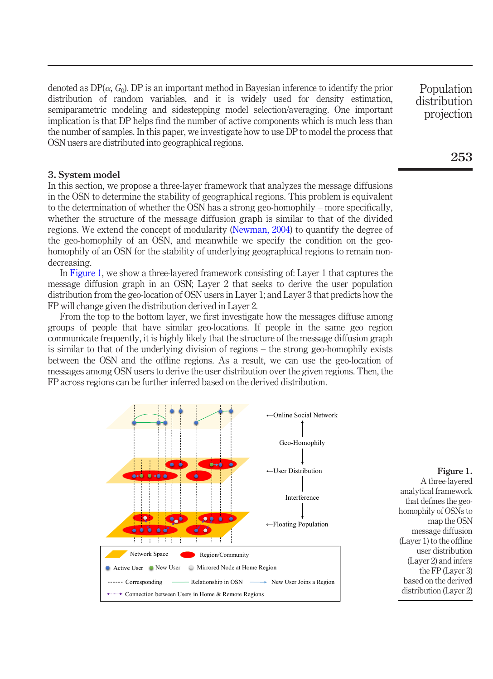denoted as  $DP(\alpha, G_0)$ . DP is an important method in Bayesian inference to identify the prior distribution of random variables, and it is widely used for density estimation, semiparametric modeling and sidestepping model selection/averaging. One important implication is that DP helps find the number of active components which is much less than the number of samples. In this paper, we investigate how to use DP to model the process that OSN users are distributed into geographical regions.

### 3. System model

In this section, we propose a three-layer framework that analyzes the message diffusions in the OSN to determine the stability of geographical regions. This problem is equivalent to the determination of whether the OSN has a strong geo-homophily – more specifically, whether the structure of the message diffusion graph is similar to that of the divided regions. We extend the concept of modularity ([Newman, 2004](#page-19-14)) to quantify the degree of the geo-homophily of an OSN, and meanwhile we specify the condition on the geohomophily of an OSN for the stability of underlying geographical regions to remain nondecreasing.

In [Figure 1,](#page-4-0) we show a three-layered framework consisting of: Layer 1 that captures the message diffusion graph in an OSN; Layer 2 that seeks to derive the user population distribution from the geo-location of OSN users in Layer 1; and Layer 3 that predicts how the FP will change given the distribution derived in Layer 2.

From the top to the bottom layer, we first investigate how the messages diffuse among groups of people that have similar geo-locations. If people in the same geo region communicate frequently, it is highly likely that the structure of the message diffusion graph is similar to that of the underlying division of regions – the strong geo-homophily exists between the OSN and the offline regions. As a result, we can use the geo-location of messages among OSN users to derive the user distribution over the given regions. Then, the FP across regions can be further inferred based on the derived distribution.



<span id="page-4-0"></span>Figure 1. A three-layered analytical framework that defines the geohomophily of OSNs to map the OSN message diffusion (Layer 1) to the offline user distribution (Layer 2) and infers the FP (Layer 3) based on the derived distribution (Layer 2)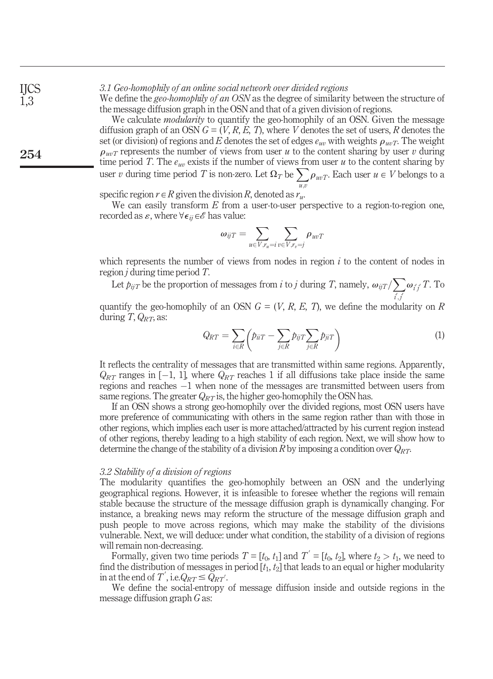<span id="page-5-0"></span>3.1 Geo-homophily of an online social network over divided regions

We define the *geo-homophily of an OSN* as the degree of similarity between the structure of the message diffusion graph in the OSN and that of a given division of regions.

We calculate *modularity* to quantify the geo-homophily of an OSN. Given the message diffusion graph of an OSN  $G = (V, R, E, T)$ , where V denotes the set of users, R denotes the set (or division) of regions and E denotes the set of edges  $e_{uv}$  with weights  $\rho_{uvT}$ . The weight  $\rho_{uvT}$  represents the number of views from user u to the content sharing by user v during time period T. The  $e_{uv}$  exists if the number of views from user u to the content sharing by user v during time period T is non-zero. Let  $\Omega_T$  be  $\sum$  $\sum_{u,v} \rho_{uvT}$ . Each user  $u \in V$  belongs to a

specific region  $r \in R$  given the division R, denoted as  $r_u$ .

We can easily transform  $E$  from a user-to-user perspective to a region-to-region one, recorded as  $\varepsilon$ , where  $\forall \epsilon_{ii} \in \mathscr{E}$  has value:

$$
\omega_{ijT} = \sum_{u \in V, r_u = i} \sum_{v \in V, r_v = j} \rho_{uvT}
$$

which represents the number of views from nodes in region  $i$  to the content of nodes in region j during time period T.

Let  $p_{ijT}$  be the proportion of messages from i to j during T, namely,  $\omega_{ijT}/\sum$  $i', j$  $\omega_{i'j'}$  T. To

quantify the geo-homophily of an OSN  $G = (V, R, E, T)$ , we define the modularity on R during T,  $Q_{RT}$ , as:

$$
Q_{RT} = \sum_{i \in R} \left( \hat{p}_{iiT} - \sum_{j \in R} \hat{p}_{ijT} \sum_{j \in R} \hat{p}_{jiT} \right) \tag{1}
$$

It reflects the centrality of messages that are transmitted within same regions. Apparently,  $Q_{RT}$  ranges in [-1, 1], where  $Q_{RT}$  reaches 1 if all diffusions take place inside the same regions and reaches  $-1$  when none of the messages are transmitted between users from same regions. The greater  $Q_{RT}$  is, the higher geo-homophily the OSN has.

If an OSN shows a strong geo-homophily over the divided regions, most OSN users have more preference of communicating with others in the same region rather than with those in other regions, which implies each user is more attached/attracted by his current region instead of other regions, thereby leading to a high stability of each region. Next, we will show how to determine the change of the stability of a division R by imposing a condition over  $Q_{RT}$ .

#### 3.2 Stability of a division of regions

The modularity quantifies the geo-homophily between an OSN and the underlying geographical regions. However, it is infeasible to foresee whether the regions will remain stable because the structure of the message diffusion graph is dynamically changing. For instance, a breaking news may reform the structure of the message diffusion graph and push people to move across regions, which may make the stability of the divisions vulnerable. Next, we will deduce: under what condition, the stability of a division of regions will remain non-decreasing.

Formally, given two time periods  $T = [t_0, t_1]$  and  $T' = [t_0, t_2]$ , where  $t_2 > t_1$ , we need to find the distribution of messages in period  $[t_1, t_2]$  that leads to an equal or higher modularity in at the end of T', i.e.  $Q_{RT} \leq Q_{RT}$ '.

We define the social-entropy of message diffusion inside and outside regions in the message diffusion graph G as:

254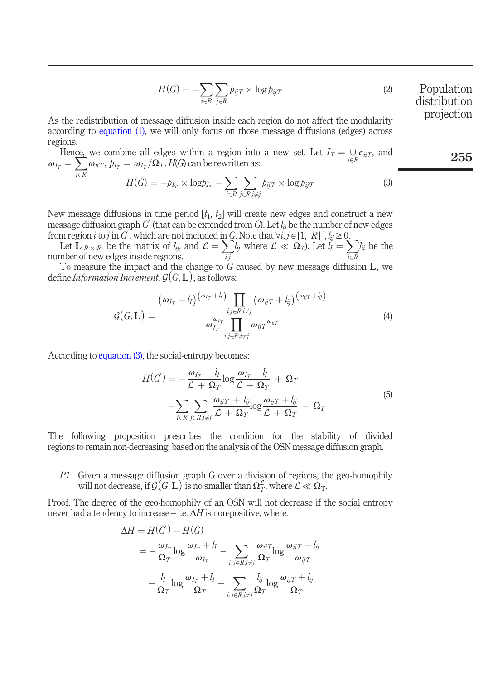$$
H(G) = -\sum_{i \in R} \sum_{j \in R} p_{ijT} \times \log p_{ijT}
$$
 (2) Population distribution

As the redistribution of message diffusion inside each region do not affect the modularity according to [equation \(1\),](#page-5-0) we will only focus on those message diffusions (edges) across regions.

Hence, we combine all edges within a region into a new set. Let  $I_T = \bigcup_{i \in R} \omega_{i} T$ ,  $p_{I_T} = \omega_{I_T}/\Omega_T$ . H(G) can be rewritten as:  $\epsilon_{iiT}$ , and  $\omega_{I_T} = \sum_{i \in R} \omega_{iT}, p_{I_T} = \omega_{I_T} / \Omega_T$ .  $H(G)$  can be rewritten as:<br> $H(G) = -\hbar_t \times \text{loop}_{I_T} - \sum_{i \in R} \sum_{i \in R}$ 

$$
H(G) = -p_{I_T} \times \log p_{I_T} - \sum_{i \in R} \sum_{j \in R, i \neq j} p_{ijT} \times \log p_{ijT}
$$
 (3)

New message diffusions in time period  $[t_1, t_2]$  will create new edges and construct a new message diffusion graph  $G$  (that can be extended from  $G$ ). Let  $l_{ij}$  be the number of new edges from region i to j in G, which are not included in G. Note that  $\forall i, j \in [1,|R|]$ ,  $l_{ij} \geq 0$ .

Let  $\overline{L}_{|R|\times|R|}$  be the matrix of  $l_{ij}$ , and  $\mathcal{L} = \sum_{i,j} l_{ij}$  where  $\mathcal{L} \ll \Omega_T$ ). Let  $l_I = \sum_{i \in R}$ <br>mber of new edges inside regions.  $l_{ii}$  be the number of new edges inside regions.

To measure the impact and the change to G caused by new message diffusion  $\overline{L}$ , we define *Information Increment,*  $G(G,\overline{L})$ , as follows:

$$
G(G,\overline{L}) = \frac{(\omega_{I_T} + l_I)^{(\omega_{I_T} + l_I)} \prod_{\substack{i,j \in R, i \neq j}} (\omega_{ijT} + l_{ij})^{(\omega_{ijT} + l_{ij})}}{\omega_{I_T}^{\omega_{I_T}} \prod_{\substack{i,j \in R, i \neq j}} \omega_{ijT}^{\omega_{ijT}}}
$$
(4)

According to equation (3), the social-entropy becomes:

$$
H(G) = -\frac{\omega_{I_T} + l_I}{\mathcal{L} + \Omega_T} \log \frac{\omega_{I_T} + l_I}{\mathcal{L} + \Omega_T} + \Omega_T
$$
  

$$
-\sum_{i \in R} \sum_{j \in R, i \neq j} \frac{\omega_{ij} T + l_{ij}}{\mathcal{L} + \Omega_T} \log \frac{\omega_{ij} T + l_{ij}}{\mathcal{L} + \Omega_T} + \Omega_T
$$
(5)

The following proposition prescribes the condition for the stability of divided regions to remain non-decreasing, based on the analysis of the OSN message diffusion graph.

P1. Given a message diffusion graph G over a division of regions, the geo-homophily will not decrease, if  $\mathcal{G}(G,\overline{\mathbf{L}})$  is no smaller than  $\Omega^{\mathcal{L}}_T$ , where  $\mathcal{L} \ll \Omega_T$ .

Proof. The degree of the geo-homophily of an OSN will not decrease if the social entropy never had a tendency to increase – i.e.  $\Delta H$  is non-positive, where:

$$
\Delta H = H(G) - H(G)
$$
\n
$$
= -\frac{\omega_{I_T}}{\Omega_T} \log \frac{\omega_{I_T} + l_I}{\omega_{I_T}} - \sum_{i,j \in R, i \neq j} \frac{\omega_{ijT}}{\Omega_T} \log \frac{\omega_{ijT} + l_{ij}}{\omega_{ijT}}
$$
\n
$$
-\frac{l_I}{\Omega_T} \log \frac{\omega_{I_T} + l_I}{\Omega_T} - \sum_{i,j \in R, i \neq j} \frac{l_{ij}}{\Omega_T} \log \frac{\omega_{ijT} + l_{ij}}{\Omega_T}
$$

255

projection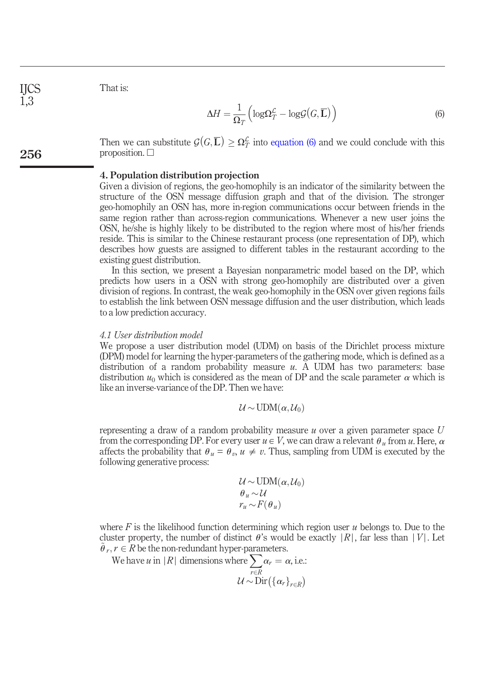That is:

$$
\Delta H = \frac{1}{\Omega_T} \left( \log \Omega_T^{\mathcal{L}} - \log \mathcal{G}(G, \overline{\mathbf{L}}) \right)
$$
(6)

Then we can substitute  $\mathcal{G}(G,\overline{L}) \geq \Omega_T^{\mathcal{L}}$  into equation (6) and we could conclude with this proposition. proposition.  $\Box$ 

#### 4. Population distribution projection

Given a division of regions, the geo-homophily is an indicator of the similarity between the structure of the OSN message diffusion graph and that of the division. The stronger geo-homophily an OSN has, more in-region communications occur between friends in the same region rather than across-region communications. Whenever a new user joins the OSN, he/she is highly likely to be distributed to the region where most of his/her friends reside. This is similar to the Chinese restaurant process (one representation of DP), which describes how guests are assigned to different tables in the restaurant according to the existing guest distribution.

In this section, we present a Bayesian nonparametric model based on the DP, which predicts how users in a OSN with strong geo-homophily are distributed over a given division of regions. In contrast, the weak geo-homophily in the OSN over given regions fails to establish the link between OSN message diffusion and the user distribution, which leads to a low prediction accuracy.

#### 4.1 User distribution model

We propose a user distribution model (UDM) on basis of the Dirichlet process mixture (DPM) model for learning the hyper-parameters of the gathering mode, which is defined as a distribution of a random probability measure  $u$ . A UDM has two parameters: base distribution  $u_0$  which is considered as the mean of DP and the scale parameter  $\alpha$  which is like an inverse-variance of the DP. Then we have:

$$
\mathcal{U} \sim \text{UDM}(\alpha, \mathcal{U}_0)
$$

representing a draw of a random probability measure  $u$  over a given parameter space U from the corresponding DP. For every user  $u \in V$ , we can draw a relevant  $\theta_u$  from u. Here,  $\alpha$ affects the probability that  $\theta_u = \theta_v$ ,  $u \neq v$ . Thus, sampling from UDM is executed by the following generative process:

$$
\mathcal{U} \sim \text{UDM}(\alpha, \mathcal{U}_0)
$$
  
\n
$$
\theta_u \sim \mathcal{U}
$$
  
\n
$$
r_u \sim F(\theta_u)
$$

where F is the likelihood function determining which region user  $u$  belongs to. Due to the cluster property, the number of distinct  $\theta$ 's would be exactly  $|R|$ , far less than  $|V|$ . Let  $\tilde{\theta}_r, r \in R$  be the non-redundant hyper-parameters.

We have *u* in |R| dimensions where 
$$
\sum_{r \in R} \alpha_r = \alpha
$$
, i.e.:  
 $U \sim \text{Dir}(\{\alpha_r\}_{r \in R})$ 

256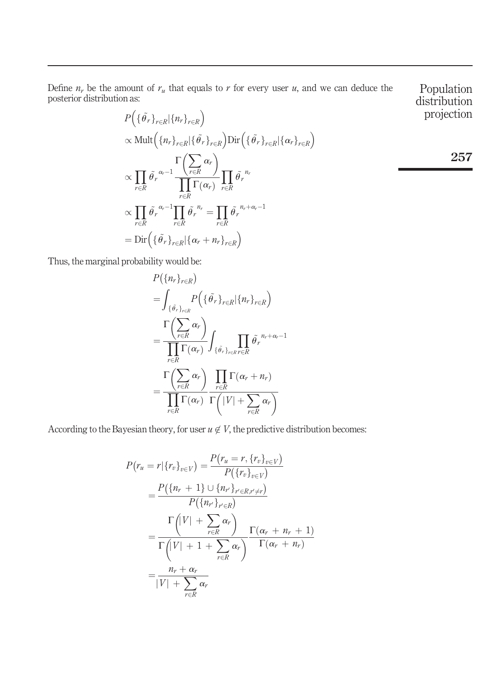Define  $n_r$  be the amount of  $r_u$  that equals to r for every user u, and we can deduce the posterior distribution as:

n as:  
\n
$$
P\left(\{\tilde{\theta}_r\}_{r\in R}|\{n_r\}_{r\in R}\right)
$$
\n
$$
\propto \text{Mult}\left(\{n_r\}_{r\in R}|\{\tilde{\theta}_r\}_{r\in R}\right) \text{Dir}\left(\{\tilde{\theta}_r\}_{r\in R}|\{\alpha_r\}_{r\in R}\right)
$$
\n
$$
\propto \prod_{r\in R} \tilde{\theta}_r^{\alpha_r-1} \frac{\Gamma\left(\sum_{r\in R} \alpha_r\right)}{\prod_{r\in R} \Gamma(\alpha_r)} \prod_{r\in R} \tilde{\theta}_r^{n_r}
$$
\n
$$
\propto \prod_{r\in R} \tilde{\theta}_r^{\alpha_r-1} \prod_{r\in R} \tilde{\theta}_r^{n_r} = \prod_{r\in R} \tilde{\theta}_r^{n_r+ \alpha_r-1}
$$
\n
$$
= \text{Dir}\left(\{\tilde{\theta}_r\}_{r\in R}|\{\alpha_r+n_r\}_{r\in R}\right)
$$

Population

Thus, the marginal probability would be:

$$
P(\lbrace n_r \rbrace_{r \in R})
$$
\n
$$
= \int_{\lbrace \tilde{\theta}_r \rbrace_{r \in R}} P(\lbrace \tilde{\theta}_r \rbrace_{r \in R} | \lbrace n_r \rbrace_{r \in R})
$$
\n
$$
= \frac{\Gamma\left(\sum_{r \in R} \alpha_r\right)}{\prod_{r \in R} \Gamma(\alpha_r)} \int_{\lbrace \tilde{\theta}_r \rbrace_{r \in R} r \in R} \tilde{\theta}_r^{n_r + \alpha_r - 1}
$$
\n
$$
= \frac{\Gamma\left(\sum_{r \in R} \alpha_r\right)}{\prod_{r \in R} \Gamma(\alpha_r)} \frac{\prod_{r \in R} \Gamma(\alpha_r + n_r)}{\Gamma(|V| + \sum_{r \in R} \alpha_r)}
$$

According to the Bayesian theory, for user  $u \notin V$ , the predictive distribution becomes:

$$
P(r_u = r | \{r_v\}_{v \in V}) = \frac{P(r_u = r, \{r_v\}_{v \in V})}{P(\{r_v\}_{v \in V})}
$$
  
= 
$$
\frac{P(\{n_r + 1\} \cup \{n_{r'}\}_{r' \in R, r' \neq r})}{P(\{n_{r'}\}_{r' \in R})}
$$
  
= 
$$
\frac{\Gamma\left(|V| + \sum_{r \in R} \alpha_r\right)}{\Gamma\left(|V| + 1 + \sum_{r \in R} \alpha_r\right)} \frac{\Gamma(\alpha_r + n_r + 1)}{\Gamma(\alpha_r + n_r)}
$$
  
= 
$$
\frac{n_r + \alpha_r}{|V| + \sum_{r \in R} \alpha_r}
$$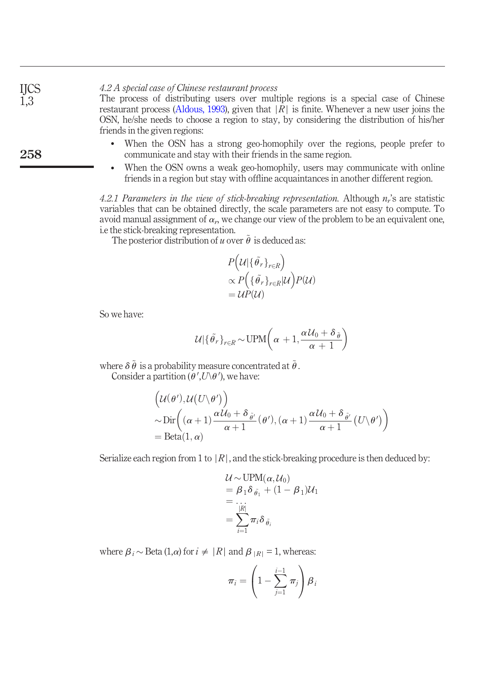4.2 A special case of Chinese restaurant process The process of distributing users over multiple regions is a special case of Chinese restaurant process [\(Aldous, 1993](#page-18-7)), given that  $|R|$  is finite. Whenever a new user joins the OSN, he/she needs to choose a region to stay, by considering the distribution of his/her friends in the given regions: IJCS 1,3

- When the OSN has a strong geo-homophily over the regions, people prefer to communicate and stay with their friends in the same region.
- When the OSN owns a weak geo-homophily, users may communicate with online friends in a region but stay with offline acquaintances in another different region.

4.2.1 Parameters in the view of stick-breaking representation. Although  $n_r$ 's are statistic variables that can be obtained directly, the scale parameters are not easy to compute. To avoid manual assignment of  $\alpha_r$ , we change our view of the problem to be an equivalent one, i.e the stick-breaking representation.

The posterior distribution of u over  $\tilde{\theta}$  is deduced as:

$$
P\left(\mathcal{U}|\{\tilde{\theta}_r\}_{r \in R}\right) \n\propto P\left(\{\tilde{\theta}_r\}_{r \in R}|\mathcal{U}\right)P(\mathcal{U}) = \mathcal{U}P(\mathcal{U})
$$

So we have:

258

$$
U | \{\tilde{\theta}_r\}_{r \in R} \sim \text{UPM}\left(\alpha + 1, \frac{\alpha U_0 + \delta_{\tilde{\theta}}}{\alpha + 1}\right)
$$

where  $\delta \tilde{\theta}$  is a probability measure concentrated at  $\tilde{\theta}$ .

Consider a partition  $(\theta', U \setminus \theta')$ , we have:

$$
\left(U(\theta'), U(U \setminus \theta')\right) \sim \text{Dir}\left((\alpha+1)\frac{\alpha U_0 + \delta_{\tilde{\theta}'}}{\alpha+1}(\theta'), (\alpha+1)\frac{\alpha U_0 + \delta_{\tilde{\theta}'} }{\alpha+1}(U \setminus \theta')\right) = \text{Beta}(1, \alpha)
$$

Serialize each region from 1 to  $|R|$ , and the stick-breaking procedure is then deduced by:

$$
\mathcal{U} \sim \text{UPM}(\alpha, \mathcal{U}_0)
$$
  
=  $\beta_1 \delta_{\tilde{\theta}_1} + (1 - \beta_1) \mathcal{U}_1$   
=  $\dots \dots \dots$   
=  $\sum_{i=1}^{N} \pi_i \delta_{\tilde{\theta}_i}$ 

where  $\beta_i$  ~ Beta (1, $\alpha$ ) for  $i \neq |R|$  and  $\beta_{|R|} = 1$ , whereas:

$$
\pi_i = \left(1 - \sum_{j=1}^{i-1} \pi_j\right) \beta_i
$$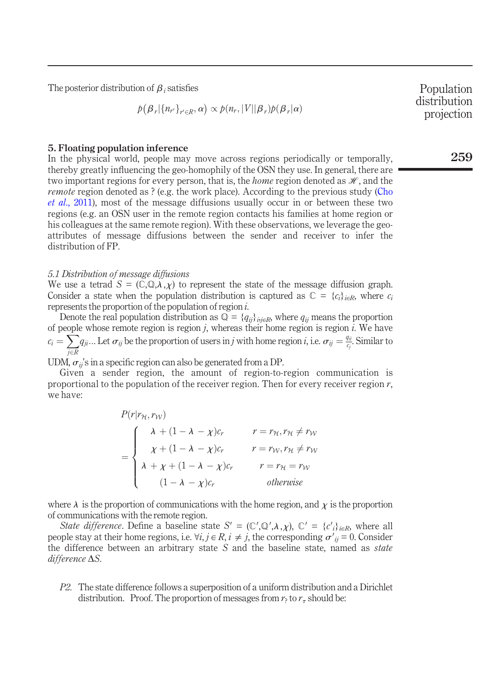The posterior distribution of  $\beta_i$  satisfies

$$
p(\beta_r | \{n_{r'}\}_{r' \in R}, \alpha) \propto p(n_r, |V| | \beta_r) p(\beta_r | \alpha)
$$

## 5. Floating population inference

In the physical world, people may move across regions periodically or temporally, thereby greatly influencing the geo-homophily of the OSN they use. In general, there are two important regions for every person, that is, the *home* region denoted as  $\mathcal{H}$ , and the *remote* region denoted as ? (e.g. the work place). According to the previous study ([Cho](#page-18-3) et al[., 2011\)](#page-18-3), most of the message diffusions usually occur in or between these two regions (e.g. an OSN user in the remote region contacts his families at home region or his colleagues at the same remote region). With these observations, we leverage the geoattributes of message diffusions between the sender and receiver to infer the distribution of FP.

## 5.1 Distribution of message diffusions

We use a tetrad  $S = (C, \mathbb{Q}, \lambda, \chi)$  to represent the state of the message diffusion graph. Consider a state when the population distribution is captured as  $\mathbb{C} = \{c_i\}_{i \in R}$ , where  $c_i$ represents the proportion of the population of region  $i$ .

Denote the real population distribution as  $\mathbb{Q} = \{q_{ij}\}_{i,j \in R}$ , where  $q_{ij}$  means the proportion of people whose remote region is region  $j$ , whereas their home region is region  $i$ . We have  $c_i = \sum_{i \in R} q_{ji}...$  Let  $\sigma_{ij}$  be the proportion of users in j with home region i, i.e.  $\sigma_{ij} = \frac{q_{ij}}{c_j}$ . Similar to

 $j\in R\atop\text{UDM, }\sigma_{ij}$ 's in a specific region can also be generated from a DP.

Given a sender region, the amount of region-to-region communication is proportional to the population of the receiver region. Then for every receiver region  $r$ , we have:

> $P(r|r_{\mathcal{H}},r_{\mathcal{W}})$  $\lambda + (1 - \lambda - \chi)c_r$   $r = r_{\mathcal{H}}, r_{\mathcal{H}} \neq r_{\mathcal{W}}$  $\chi + (1 - \lambda - \chi)c_r$   $r = r_W, r_H \neq r_W$  $\lambda + \chi + (1 - \lambda - \chi)c_r$   $r = r_{\mathcal{H}} = r_{\mathcal{W}}$  $(1 - \lambda - \chi)c_r$  otherwise  $\sqrt{2}$  $\int$  $\overline{\mathcal{L}}$

where  $\lambda$  is the proportion of communications with the home region, and  $\chi$  is the proportion of communications with the remote region.

State difference. Define a baseline state  $S' = (\mathbb{C}', \mathbb{Q}', \lambda, \chi)$ ,  $\mathbb{C}' = \{c'_i\}_{i \in \mathbb{R}}$ , where all people stay at their home regions, i.e.  $\forall i, j \in R, i \neq j$ , the corresponding  $\sigma'_{ij} = 0$ . Consider the difference between an arbitrary state  $S$  and the baseline state, named as state  $difference \Delta S$ .

P2. The state difference follows a superposition of a uniform distribution and a Dirichlet distribution. Proof. The proportion of messages from  $r_2$  to  $r_\tau$  should be:

Population distribution projection

259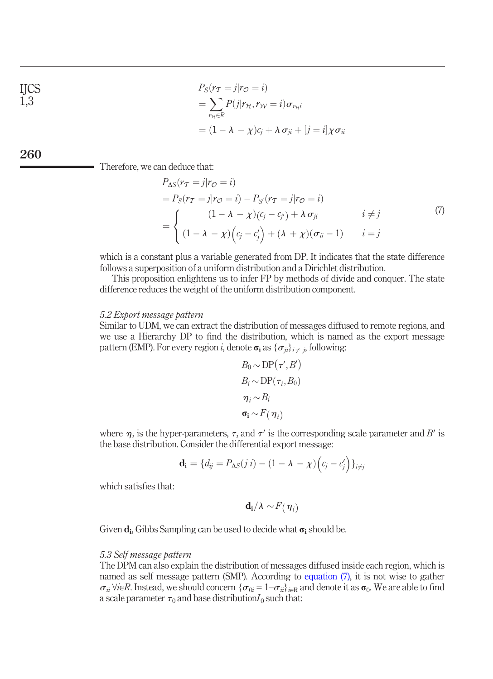$$
\underset{1,3}{\text{IJCS}}
$$

$$
P_S(r_T = j | r_O = i)
$$
  
= 
$$
\sum_{r_H \in R} P(j | r_H, r_W = i) \sigma_{r_H i}
$$
  
= 
$$
(1 - \lambda - \chi)c_j + \lambda \sigma_{ji} + [j = i] \chi \sigma_{ii}
$$

260

Therefore, we can deduce that:

$$
P_{\Delta S}(r_T = j|r_{\mathcal{O}} = i)
$$
  
=  $P_S(r_T = j|r_{\mathcal{O}} = i) - P_{S'}(r_T = j|r_{\mathcal{O}} = i)$   
= 
$$
\begin{cases} (1 - \lambda - \chi)(c_j - c_{j'}) + \lambda \sigma_{ji} & i \neq j \\ (1 - \lambda - \chi)(c_j - c'_{j}) + (\lambda + \chi)(\sigma_{ii} - 1) & i = j \end{cases}
$$
(7)

which is a constant plus a variable generated from DP. It indicates that the state difference follows a superposition of a uniform distribution and a Dirichlet distribution.

This proposition enlightens us to infer FP by methods of divide and conquer. The state difference reduces the weight of the uniform distribution component.

### 5.2 Export message pattern

Similar to UDM, we can extract the distribution of messages diffused to remote regions, and we use a Hierarchy DP to find the distribution, which is named as the export message pattern (EMP). For every region i, denote  $\sigma_i$  as  $\{\sigma_{ii}\}_{i \neq j}$ , following:

$$
B_0 \sim DP(\tau', B')
$$
  
\n
$$
B_i \sim DP(\tau_i, B_0)
$$
  
\n
$$
\eta_i \sim B_i
$$
  
\n
$$
\sigma_i \sim F(\eta_i)
$$

where  $\eta_i$  is the hyper-parameters,  $\tau_i$  and  $\tau'$  is the corresponding scale parameter and B' is the base distribution. Consider the differential export message:

$$
\mathbf{d_i} = \{d_{ij} = P_{\Delta S}(j|i) - (1 - \lambda - \chi)\Big(c_j - c'_j\Big)\}_{i \neq j}
$$

which satisfies that:

$$
\mathbf{d_i}/\lambda \sim F(\eta_i)
$$

Given  $\mathbf{d_i}$ , Gibbs Sampling can be used to decide what  $\sigma_i$  should be.

#### 5.3 Self message pattern

The DPM can also explain the distribution of messages diffused inside each region, which is named as self message pattern (SMP). According to equation (7), it is not wise to gather  $\sigma_{ii}$  Vi $\in$ R. Instead, we should concern  ${\{\sigma_{0i} = 1-\sigma_{ii}\}}_{i\in \mathbb{R}}$  and denote it as  $\sigma_0$ . We are able to find a scale parameter  $\tau_0$  and base distribution $I_0$  such that: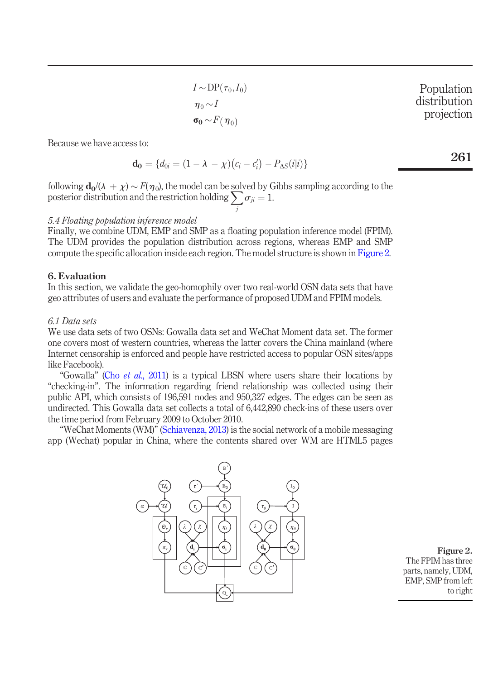| $I \sim DP(\tau_0, I_0)$  | Population   |
|---------------------------|--------------|
| $\eta_0 \sim l$           | distribution |
| $\sigma_0 \sim F(\eta_0)$ | projection   |
|                           |              |

Because we have access to:

$$
\mathbf{d_0} = \{d_{0i} = (1 - \lambda - \chi)(c_i - c'_i) - P_{\Delta S}(i|i)\}\
$$

following  $d_0/(\lambda + \chi) \sim F(\eta_0)$ , the model can be solved by Gibbs sampling according to the posterior distribution and the restriction holding  $\sum_i \sigma_{ji} = 1.$ 

j

## 5.4 Floating population inference model

Finally, we combine UDM, EMP and SMP as a floating population inference model (FPIM). The UDM provides the population distribution across regions, whereas EMP and SMP compute the specific allocation inside each region. The model structure is shown in [Figure 2](#page-12-0).

## 6. Evaluation

In this section, we validate the geo-homophily over two real-world OSN data sets that have geo attributes of users and evaluate the performance of proposed UDM and FPIM models.

#### 6.1 Data sets

We use data sets of two OSNs: Gowalla data set and WeChat Moment data set. The former one covers most of western countries, whereas the latter covers the China mainland (where Internet censorship is enforced and people have restricted access to popular OSN sites/apps like Facebook).

"Gowalla" (Cho *et al.*, 2011) is a typical LBSN where users share their locations by "checking-in". The information regarding friend relationship was collected using their public API, which consists of 196,591 nodes and 950,327 edges. The edges can be seen as undirected. This Gowalla data set collects a total of 6,442,890 check-ins of these users over the time period from February 2009 to October 2010.

"WeChat Moments (WM)" ([Schiavenza, 2013\)](#page-19-15) is the social network of a mobile messaging app (Wechat) popular in China, where the contents shared over WM are HTML5 pages



<span id="page-12-0"></span>Figure 2. The FPIM has three parts, namely, UDM, EMP, SMP from left to right

261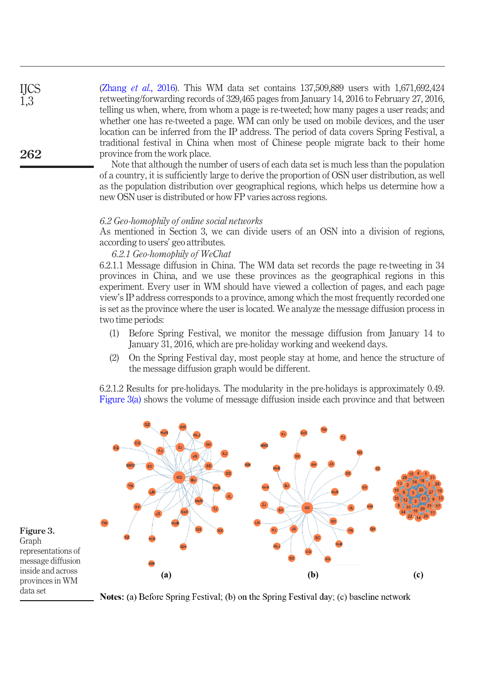(Zhang et al[., 2016](#page-19-16)). This WM data set contains  $137,509,889$  users with  $1,671,692,424$ retweeting/forwarding records of 329,465 pages from January 14, 2016 to February 27, 2016, telling us when, where, from whom a page is re-tweeted; how many pages a user reads; and whether one has re-tweeted a page. WM can only be used on mobile devices, and the user location can be inferred from the IP address. The period of data covers Spring Festival, a traditional festival in China when most of Chinese people migrate back to their home province from the work place.

Note that although the number of users of each data set is much less than the population of a country, it is sufficiently large to derive the proportion of OSN user distribution, as well as the population distribution over geographical regions, which helps us determine how a new OSN user is distributed or how FP varies across regions.

## 6.2 Geo-homophily of online social networks

As mentioned in Section 3, we can divide users of an OSN into a division of regions, according to users' geo attributes.

# 6.2.1 Geo-homophily of WeChat

6.2.1.1 Message diffusion in China. The WM data set records the page re-tweeting in 34 provinces in China, and we use these provinces as the geographical regions in this experiment. Every user in WM should have viewed a collection of pages, and each page view's IP address corresponds to a province, among which the most frequently recorded one is set as the province where the user is located. We analyze the message diffusion process in two time periods:

- (1) Before Spring Festival, we monitor the message diffusion from January 14 to January 31, 2016, which are pre-holiday working and weekend days.
- (2) On the Spring Festival day, most people stay at home, and hence the structure of the message diffusion graph would be different.

6.2.1.2 Results for pre-holidays. The modularity in the pre-holidays is approximately 0.49. [Figure 3\(a\)](#page-13-0) shows the volume of message diffusion inside each province and that between



<span id="page-13-0"></span>Notes: (a) Before Spring Festival; (b) on the Spring Festival day; (c) baseline network

262

IJCS  $1.3$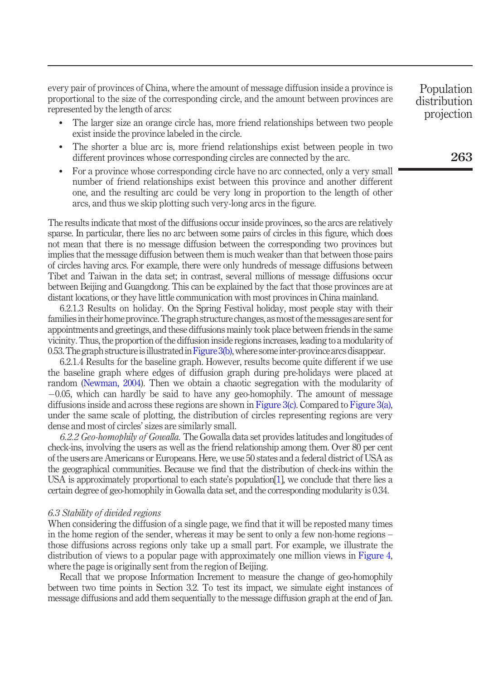every pair of provinces of China, where the amount of message diffusion inside a province is proportional to the size of the corresponding circle, and the amount between provinces are represented by the length of arcs:

- The larger size an orange circle has, more friend relationships between two people exist inside the province labeled in the circle.
- The shorter a blue arc is, more friend relationships exist between people in two different provinces whose corresponding circles are connected by the arc.
- For a province whose corresponding circle have no arc connected, only a very small number of friend relationships exist between this province and another different one, and the resulting arc could be very long in proportion to the length of other arcs, and thus we skip plotting such very-long arcs in the figure.

The results indicate that most of the diffusions occur inside provinces, so the arcs are relatively sparse. In particular, there lies no arc between some pairs of circles in this figure, which does not mean that there is no message diffusion between the corresponding two provinces but implies that the message diffusion between them is much weaker than that between those pairs of circles having arcs. For example, there were only hundreds of message diffusions between Tibet and Taiwan in the data set; in contrast, several millions of message diffusions occur between Beijing and Guangdong. This can be explained by the fact that those provinces are at distant locations, or they have little communication with most provinces in China mainland.

6.2.1.3 Results on holiday. On the Spring Festival holiday, most people stay with their families in their home province. The graph structure changes, as most of the messages are sent for appointments and greetings, and these diffusions mainly took place between friends in the same vicinity. Thus, the proportion of the diffusion inside regions increases, leading to a modularity of 0.53. The graph structure is illustrated in [Figure 3\(b\)](#page-13-0), where some inter-province arcs disappear.

6.2.1.4 Results for the baseline graph. However, results become quite different if we use the baseline graph where edges of diffusion graph during pre-holidays were placed at random ([Newman, 2004\)](#page-19-14). Then we obtain a chaotic segregation with the modularity of  $-0.05$ , which can hardly be said to have any geo-homophily. The amount of message diffusions inside and across these regions are shown in [Figure 3\(c\)](#page-13-0). Compared to [Figure 3\(a\)](#page-13-0), under the same scale of plotting, the distribution of circles representing regions are very dense and most of circles' sizes are similarly small.

6.2.2 Geo-homophily of Gowalla. The Gowalla data set provides latitudes and longitudes of check-ins, involving the users as well as the friend relationship among them. Over 80 per cent of the users are Americans or Europeans. Here, we use 50 states and a federal district of USA as the geographical communities. Because we find that the distribution of check-ins within the USA is approximately proportional to each state's population[\[1](#page-18-8)], we conclude that there lies a certain degree of geo-homophily in Gowalla data set, and the corresponding modularity is 0.34.

#### 6.3 Stability of divided regions

When considering the diffusion of a single page, we find that it will be reposted many times in the home region of the sender, whereas it may be sent to only a few non-home regions – those diffusions across regions only take up a small part. For example, we illustrate the distribution of views to a popular page with approximately one million views in [Figure 4](#page-15-0), where the page is originally sent from the region of Beijing.

Recall that we propose Information Increment to measure the change of geo-homophily between two time points in Section 3.2. To test its impact, we simulate eight instances of message diffusions and add them sequentially to the message diffusion graph at the end of Jan.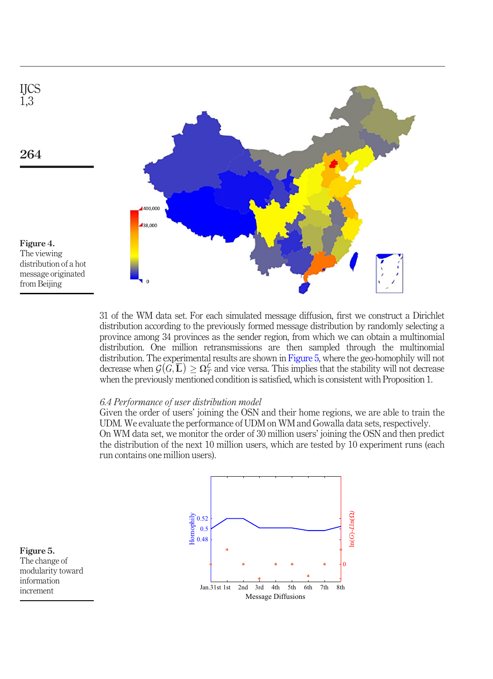

<span id="page-15-0"></span>31 of the WM data set. For each simulated message diffusion, first we construct a Dirichlet distribution according to the previously formed message distribution by randomly selecting a province among 34 provinces as the sender region, from which we can obtain a multinomial distribution. One million retransmissions are then sampled through the multinomial distribution. The experimental results are shown in [Figure 5](#page-15-1), where the geo-homophily will not decrease when  $\mathcal{G}(G,\overline{L}) \geq \Omega_T^2$  and vice versa. This implies that the stability will not decrease<br>when the previously mentioned condition is satisfied which is consistent with Proposition 1 when the previously mentioned condition is satisfied, which is consistent with Proposition 1.

## 6.4 Performance of user distribution model

Given the order of users' joining the OSN and their home regions, we are able to train the UDM. We evaluate the performance of UDM on WM and Gowalla data sets, respectively. On WM data set, we monitor the order of 30 million users' joining the OSN and then predict the distribution of the next 10 million users, which are tested by 10 experiment runs (each run contains one million users).

<span id="page-15-1"></span>

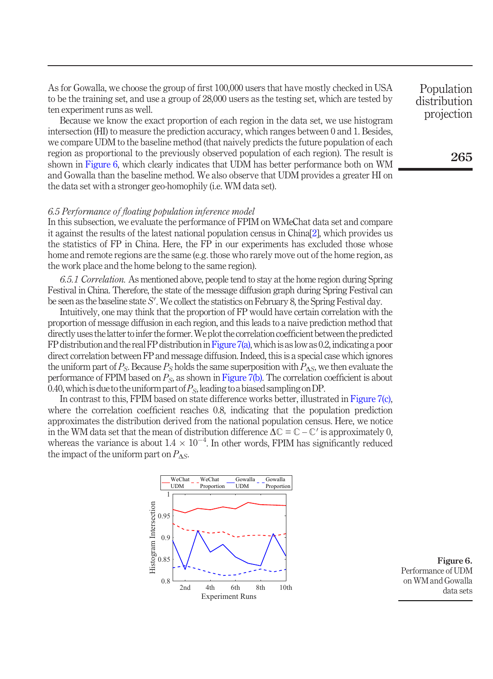As for Gowalla, we choose the group of first 100,000 users that have mostly checked in USA to be the training set, and use a group of 28,000 users as the testing set, which are tested by ten experiment runs as well.

Because we know the exact proportion of each region in the data set, we use histogram intersection (HI) to measure the prediction accuracy, which ranges between 0 and 1. Besides, we compare UDM to the baseline method (that naively predicts the future population of each region as proportional to the previously observed population of each region). The result is shown in [Figure 6,](#page-16-0) which clearly indicates that UDM has better performance both on WM and Gowalla than the baseline method. We also observe that UDM provides a greater HI on the data set with a stronger geo-homophily (i.e. WM data set).

### 6.5 Performance of floating population inference model

In this subsection, we evaluate the performance of FPIM on WMeChat data set and compare it against the results of the latest national population census in China[[2\]](#page-18-9), which provides us the statistics of FP in China. Here, the FP in our experiments has excluded those whose home and remote regions are the same (e.g. those who rarely move out of the home region, as the work place and the home belong to the same region).

6.5.1 Correlation. As mentioned above, people tend to stay at the home region during Spring Festival in China. Therefore, the state of the message diffusion graph during Spring Festival can be seen as the baseline state  $S'$ . We collect the statistics on February 8, the Spring Festival day.

Intuitively, one may think that the proportion of FP would have certain correlation with the proportion of message diffusion in each region, and this leads to a naive prediction method that directly uses thelatter toinfer the former.We plot the correlation coefficient between the predicted FP distribution and the real FP distribution in [Figure 7\(a\),](#page-17-0) which is as low as 0.2, indicating a poor direct correlation between FP and message diffusion. Indeed, this is a special case which ignores the uniform part of  $P_S$ . Because  $P_S$  holds the same superposition with  $P_{\Delta S}$ , we then evaluate the performance of FPIM based on  $P<sub>S</sub>$ , as shown in [Figure 7\(b\)](#page-17-0). The correlation coefficient is about 0.40, which is due to the uniform part of  $P_s$ , leading to a biased sampling on DP.

In contrast to this, FPIM based on state difference works better, illustrated in [Figure 7\(c\)](#page-17-0), where the correlation coefficient reaches 0.8, indicating that the population prediction approximates the distribution derived from the national population census. Here, we notice in the WM data set that the mean of distribution difference  $\Delta \mathbb{C} = \mathbb{C} - \mathbb{C}'$  is approximately 0, whereas the variance is about  $1.4 \times 10^{-4}$ . In other words, FPIM has significantly reduced the impact of the uniform part on  $P_{\text{AB}}$ the impact of the uniform part on  $P_{\Lambda S}$ .



<span id="page-16-0"></span>Figure 6. Performance of UDM on WM and Gowalla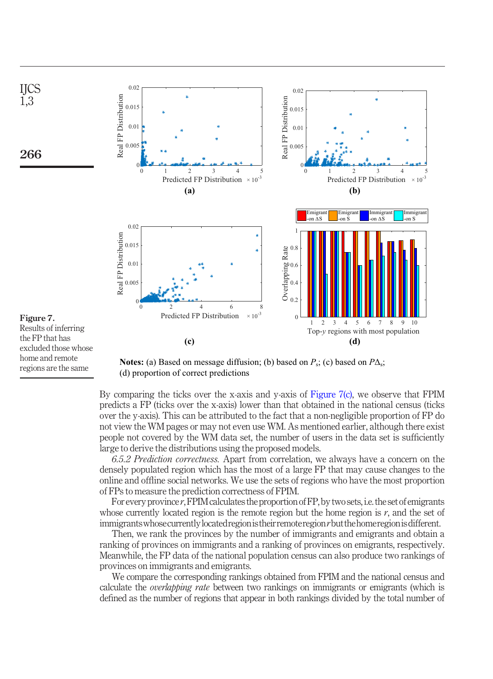

<span id="page-17-0"></span>home and remote regions are the same

**Notes:** (a) Based on message diffusion; (b) based on  $P_s$ ; (c) based on  $P\Delta_s$ ; (d) proportion of correct predictions

By comparing the ticks over the x-axis and y-axis of [Figure 7\(c\),](#page-17-0) we observe that FPIM predicts a FP (ticks over the x-axis) lower than that obtained in the national census (ticks over the y-axis). This can be attributed to the fact that a non-negligible proportion of FP do not view the WM pages or may not even use WM. As mentioned earlier, although there exist people not covered by the WM data set, the number of users in the data set is sufficiently large to derive the distributions using the proposed models.

6.5.2 Prediction correctness. Apart from correlation, we always have a concern on the densely populated region which has the most of a large FP that may cause changes to the online and offline social networks. We use the sets of regions who have the most proportion of FPs to measure the prediction correctness of FPIM.

For every province  $r$ , FPIM calculates the proportion of FP, by two sets, i.e. the set of emigrants whose currently located region is the remote region but the home region is  $r$ , and the set of immigrants whose currently located region is their remote region r but the home region is different.

Then, we rank the provinces by the number of immigrants and emigrants and obtain a ranking of provinces on immigrants and a ranking of provinces on emigrants, respectively. Meanwhile, the FP data of the national population census can also produce two rankings of provinces on immigrants and emigrants.

We compare the corresponding rankings obtained from FPIM and the national census and calculate the *overlapping rate* between two rankings on immigrants or emigrants (which is defined as the number of regions that appear in both rankings divided by the total number of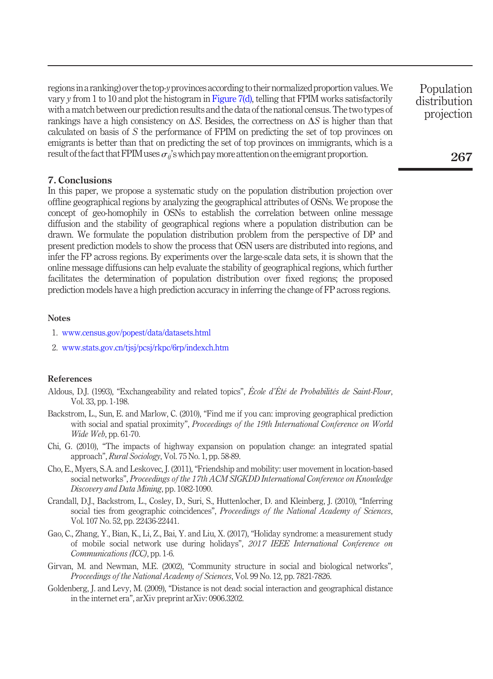regions in a ranking) over the top-y provinces according to their normalized proportion values. We vary  $\nu$  from 1 to 10 and plot the histogram in [Figure 7\(d\)](#page-17-0), telling that FPIM works satisfactorily with a match between our prediction results and the data of the national census. The two types of rankings have a high consistency on  $\Delta S$ . Besides, the correctness on  $\Delta S$  is higher than that calculated on basis of S the performance of FPIM on predicting the set of top provinces on emigrants is better than that on predicting the set of top provinces on immigrants, which is a result of the fact that FPIM uses  $\sigma_{ii}$ 's which pay more attention on the emigrant proportion.

### 7. Conclusions

In this paper, we propose a systematic study on the population distribution projection over offline geographical regions by analyzing the geographical attributes of OSNs. We propose the concept of geo-homophily in OSNs to establish the correlation between online message diffusion and the stability of geographical regions where a population distribution can be drawn. We formulate the population distribution problem from the perspective of DP and present prediction models to show the process that OSN users are distributed into regions, and infer the FP across regions. By experiments over the large-scale data sets, it is shown that the online message diffusions can help evaluate the stability of geographical regions, which further facilitates the determination of population distribution over fixed regions; the proposed prediction models have a high prediction accuracy in inferring the change of FP across regions.

## Notes

- <span id="page-18-8"></span>1. [www.census.gov/popest/data/datasets.html](http://www.census.gov/popest/data/datasets.html)
- <span id="page-18-9"></span>2. [www.stats.gov.cn/tjsj/pcsj/rkpc/6rp/indexch.htm](http://www.stats.gov.cn/tjsj/pcsj/rkpc/6rp/indexch.htm)

### References

- <span id="page-18-7"></span>Aldous, D.J. (1993), "Exchangeability and related topics", École d'Été de Probabilités de Saint-Flour, Vol. 33, pp. 1-198.
- <span id="page-18-2"></span>Backstrom, L., Sun, E. and Marlow, C. (2010), "Find me if you can: improving geographical prediction with social and spatial proximity", Proceedings of the 19th International Conference on World Wide Web, pp. 61-70.
- <span id="page-18-0"></span>Chi, G. (2010), "The impacts of highway expansion on population change: an integrated spatial approach", Rural Sociology, Vol. 75 No. 1, pp. 58-89.
- <span id="page-18-3"></span>Cho, E., Myers, S.A. and Leskovec, J. (2011), "Friendship and mobility: user movement in location-based social networks", Proceedings of the 17th ACM SIGKDD International Conference on Knowledge Discovery and Data Mining, pp. 1082-1090.
- <span id="page-18-6"></span>Crandall, D.J., Backstrom, L., Cosley, D., Suri, S., Huttenlocher, D. and Kleinberg, J. (2010), "Inferring social ties from geographic coincidences", Proceedings of the National Academy of Sciences, Vol. 107 No. 52, pp. 22436-22441.
- <span id="page-18-1"></span>Gao, C., Zhang, Y., Bian, K., Li, Z., Bai, Y. and Liu, X. (2017), "Holiday syndrome: a measurement study of mobile social network use during holidays", 2017 IEEE International Conference on Communications (ICC), pp. 1-6.
- <span id="page-18-4"></span>Girvan, M. and Newman, M.E. (2002), "Community structure in social and biological networks", Proceedings of the National Academy of Sciences, Vol. 99 No. 12, pp. 7821-7826.
- <span id="page-18-5"></span>Goldenberg, J. and Levy, M. (2009), "Distance is not dead: social interaction and geographical distance in the internet era", arXiv preprint arXiv: 0906.3202.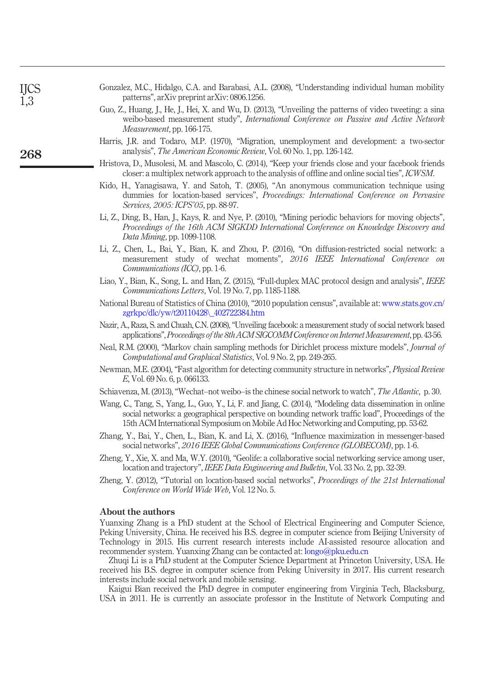<span id="page-19-13"></span>

| patterns", arXiv preprint arXiv: 0806.1256.                                                                                                                                                                                                                                                               |
|-----------------------------------------------------------------------------------------------------------------------------------------------------------------------------------------------------------------------------------------------------------------------------------------------------------|
| Guo, Z., Huang, J., He, J., Hei, X. and Wu, D. (2013), "Unveiling the patterns of video tweeting: a sina<br>weibo-based measurement study", International Conference on Passive and Active Network<br><i>Measurement</i> , pp. 166-175.                                                                   |
| Harris, J.R. and Todaro, M.P. (1970), "Migration, unemployment and development: a two-sector<br>analysis", The American Economic Review, Vol. 60 No. 1, pp. 126-142.                                                                                                                                      |
| Hristova, D., Musolesi, M. and Mascolo, C. (2014), "Keep your friends close and your facebook friends<br>closer: a multiplex network approach to the analysis of offline and online social ties", ICWSM.                                                                                                  |
| Kido, H., Yanagisawa, Y. and Satoh, T. (2005), "An anonymous communication technique using<br>dummies for location-based services", Proceedings: International Conference on Pervasive<br><i>Services, 2005: ICPS'05, pp. 88-97.</i>                                                                      |
| Li, Z., Ding, B., Han, J., Kays, R. and Nye, P. (2010), "Mining periodic behaviors for moving objects",<br>Proceedings of the 16th ACM SIGKDD International Conference on Knowledge Discovery and<br><i>Data Mining</i> , pp. 1099-1108.                                                                  |
| Li, Z., Chen, L., Bai, Y., Bian, K. and Zhou, P. (2016), "On diffusion-restricted social network: a<br>measurement study of wechat moments", 2016 IEEE International Conference on<br>Communications (ICC), pp. 1-6.                                                                                      |
| Liao, Y., Bian, K., Song, L. and Han, Z. (2015), "Full-duplex MAC protocol design and analysis", IEEE<br>Communications Letters, Vol. 19 No. 7, pp. 1185-1188.                                                                                                                                            |
| National Bureau of Statistics of China (2010), "2010 population census", available at: www.stats.gov.cn/<br>zgrkpc/dlc/yw/t20110428\_402722384.htm                                                                                                                                                        |
| Nazir, A., Raza, S. and Chuah, C.N. (2008), "Unveiling facebook: a measurement study of social network based<br>applications", Proceedings of the 8th ACM SIGCOMM Conference on Internet Measurement, pp. 43-56.                                                                                          |
| Neal, R.M. (2000), "Markov chain sampling methods for Dirichlet process mixture models", Journal of<br>Computational and Graphical Statistics, Vol. 9 No. 2, pp. 249-265.                                                                                                                                 |
| Newman, M.E. (2004), "Fast algorithm for detecting community structure in networks", Physical Review<br>E, Vol. 69 No. 6, p. 066133.                                                                                                                                                                      |
| Schiavenza, M. (2013), "Wechat-not weibo-is the chinese social network to watch", The Atlantic, p. 30.                                                                                                                                                                                                    |
| Wang, C., Tang, S., Yang, L., Guo, Y., Li, F. and Jiang, C. (2014), "Modeling data dissemination in online<br>social networks: a geographical perspective on bounding network traffic load", Proceedings of the<br>15th ACM International Symposium on Mobile Ad Hoc Networking and Computing, pp. 53-62. |
| Zhang, Y., Bai, Y., Chen, L., Bian, K. and Li, X. (2016), "Influence maximization in messenger-based<br>social networks", 2016 IEEE Global Communications Conference (GLOBECOM), pp. 1-6.                                                                                                                 |
| Zheng, Y., Xie, X. and Ma, W.Y. (2010), "Geolife: a collaborative social networking service among user,<br>location and trajectory", IEEE Data Engineering and Bulletin, Vol. 33 No. 2, pp. 32-39.                                                                                                        |
| Zheng, Y. (2012), "Tutorial on location-based social networks", Proceedings of the 21st International<br>Conference on World Wide Web, Vol. 12 No. 5.                                                                                                                                                     |
| <b>About the authors</b><br>Yuanxing Zhang is a PhD student at the School of Electrical Engineering and Computer Science,                                                                                                                                                                                 |
| Peking University, China. He received his B.S. degree in computer science from Beijing University of<br>Technology in 2015. His current research interests include AI-assisted resource allocation and<br>recommender system. Yuanxing Zhang can be contacted at: longo@pku.edu.cn                        |

<span id="page-19-5"></span><span id="page-19-1"></span><span id="page-19-0"></span>Gonzalez, M.C., Hidalgo, C.A. and Barabasi, A.L. (2008), "Understanding individual human mobility

<span id="page-19-16"></span><span id="page-19-15"></span><span id="page-19-14"></span><span id="page-19-12"></span><span id="page-19-10"></span><span id="page-19-8"></span>Zhuqi Li is a PhD student at the Computer Science Department at Princeton University, USA. He received his B.S. degree in computer science from Peking University in 2017. His current research interests include social network and mobile sensing.

Kaigui Bian received the PhD degree in computer engineering from Virginia Tech, Blacksburg, USA in 2011. He is currently an associate professor in the Institute of Network Computing and

<span id="page-19-11"></span><span id="page-19-9"></span><span id="page-19-7"></span><span id="page-19-6"></span><span id="page-19-4"></span><span id="page-19-3"></span><span id="page-19-2"></span>268